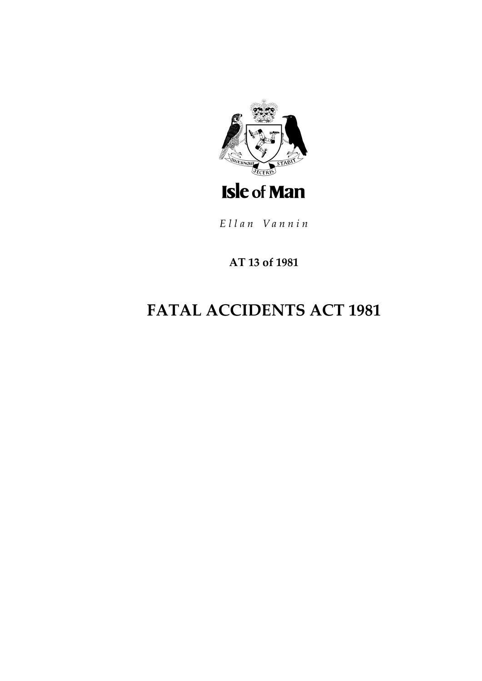

Ellan Vannin

# AT 13 of 1981

# **FATAL ACCIDENTS ACT 1981**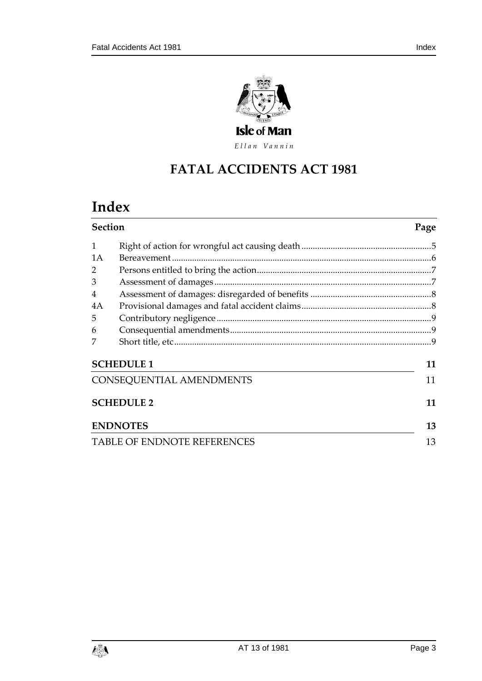

Ellan Vannin

# **FATAL ACCIDENTS ACT 1981**

# **Index**

| <b>Section</b>                     |                 | Page |
|------------------------------------|-----------------|------|
| $\mathbf{1}$                       |                 |      |
| 1A                                 |                 |      |
| 2                                  |                 |      |
| 3                                  |                 |      |
| 4                                  |                 |      |
| 4A                                 |                 |      |
| 5                                  |                 |      |
| 6                                  |                 |      |
|                                    |                 |      |
| <b>SCHEDULE 1</b>                  |                 | 11   |
| CONSEQUENTIAL AMENDMENTS           |                 | 11   |
| <b>SCHEDULE 2</b>                  |                 | 11   |
|                                    | <b>ENDNOTES</b> | 13   |
| <b>TABLE OF ENDNOTE REFERENCES</b> |                 | 13   |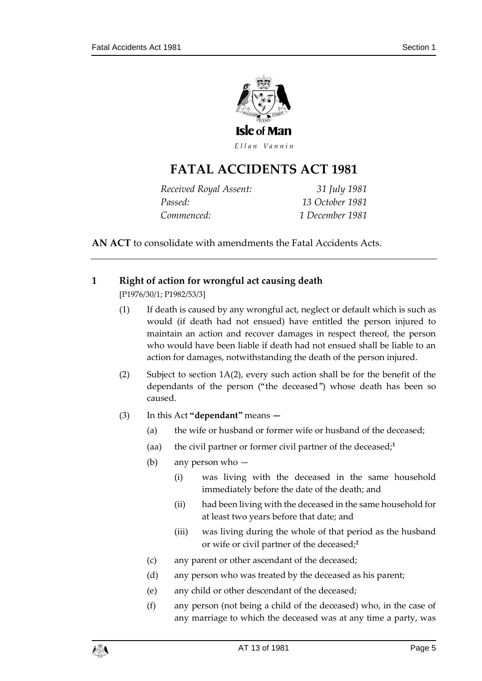

Ellan Vannin

# **FATAL ACCIDENTS ACT 1981**

| Received Royal Assent: | 31 July 1981    |
|------------------------|-----------------|
| Passed:                | 13 October 1981 |
| Commenced:             | 1 December 1981 |

**AN ACT** to consolidate with amendments the Fatal Accidents Acts.

# <span id="page-4-0"></span>**1 Right of action for wrongful act causing death**

[P1976/30/1; P1982/53/3]

- (1) If death is caused by any wrongful act, neglect or default which is such as would (if death had not ensued) have entitled the person injured to maintain an action and recover damages in respect thereof, the person who would have been liable if death had not ensued shall be liable to an action for damages, notwithstanding the death of the person injured.
- (2) Subject to section 1A(2), every such action shall be for the benefit of the dependants of the person ("the deceased") whose death has been so caused.
- (3) In this Act **"dependant"** means **—**
	- (a) the wife or husband or former wife or husband of the deceased;
	- (aa) the civil partner or former civil partner of the deceased;**<sup>1</sup>**
	- (b) any person who
		- (i) was living with the deceased in the same household immediately before the date of the death; and
		- (ii) had been living with the deceased in the same household for at least two years before that date; and
		- (iii) was living during the whole of that period as the husband or wife or civil partner of the deceased;**<sup>2</sup>**
	- (c) any parent or other ascendant of the deceased;
	- (d) any person who was treated by the deceased as his parent;
	- (e) any child or other descendant of the deceased;
	- (f) any person (not being a child of the deceased) who, in the case of any marriage to which the deceased was at any time a party, was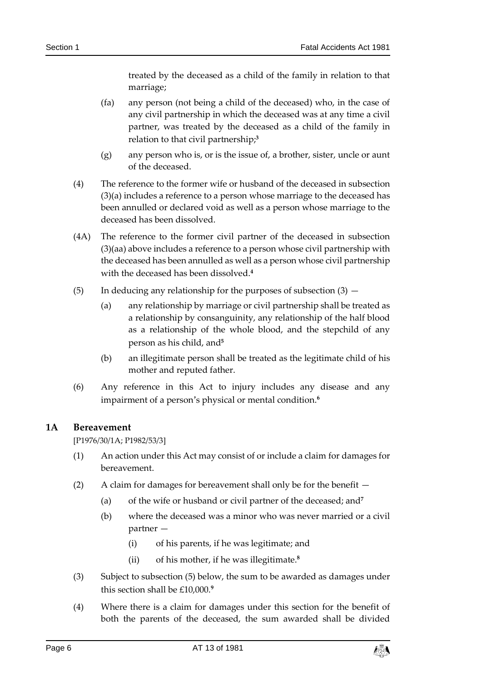treated by the deceased as a child of the family in relation to that marriage;

- (fa) any person (not being a child of the deceased) who, in the case of any civil partnership in which the deceased was at any time a civil partner, was treated by the deceased as a child of the family in relation to that civil partnership;**<sup>3</sup>**
- (g) any person who is, or is the issue of, a brother, sister, uncle or aunt of the deceased.
- (4) The reference to the former wife or husband of the deceased in subsection (3)(a) includes a reference to a person whose marriage to the deceased has been annulled or declared void as well as a person whose marriage to the deceased has been dissolved.
- (4A) The reference to the former civil partner of the deceased in subsection (3)(aa) above includes a reference to a person whose civil partnership with the deceased has been annulled as well as a person whose civil partnership with the deceased has been dissolved.**<sup>4</sup>**
- (5) In deducing any relationship for the purposes of subsection  $(3)$ 
	- (a) any relationship by marriage or civil partnership shall be treated as a relationship by consanguinity, any relationship of the half blood as a relationship of the whole blood, and the stepchild of any person as his child, and**<sup>5</sup>**
	- (b) an illegitimate person shall be treated as the legitimate child of his mother and reputed father.
- (6) Any reference in this Act to injury includes any disease and any impairment of a person's physical or mental condition.**<sup>6</sup>**

## <span id="page-5-0"></span>**1A Bereavement**

[P1976/30/1A; P1982/53/3]

- (1) An action under this Act may consist of or include a claim for damages for bereavement.
- (2) A claim for damages for bereavement shall only be for the benefit
	- (a) of the wife or husband or civil partner of the deceased; and**<sup>7</sup>**
	- (b) where the deceased was a minor who was never married or a civil partner —
		- (i) of his parents, if he was legitimate; and
		- (ii) of his mother, if he was illegitimate.**<sup>8</sup>**
- (3) Subject to subsection (5) below, the sum to be awarded as damages under this section shall be £10,000.**<sup>9</sup>**
- (4) Where there is a claim for damages under this section for the benefit of both the parents of the deceased, the sum awarded shall be divided

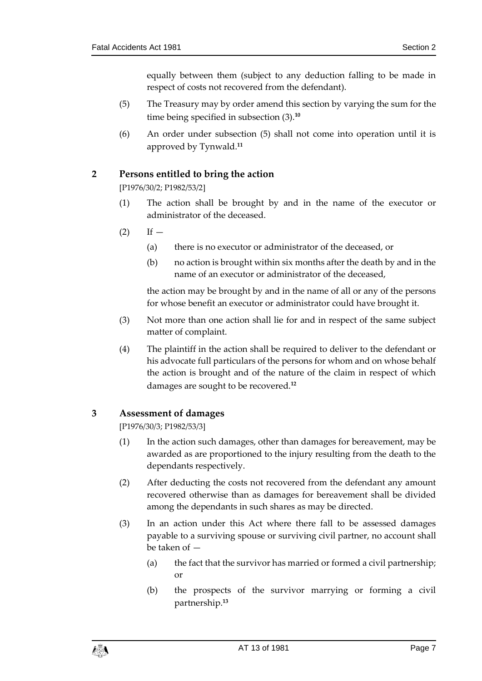equally between them (subject to any deduction falling to be made in respect of costs not recovered from the defendant).

- (5) The Treasury may by order amend this section by varying the sum for the time being specified in subsection (3).**<sup>10</sup>**
- (6) An order under subsection (5) shall not come into operation until it is approved by Tynwald.**<sup>11</sup>**

# <span id="page-6-0"></span>**2 Persons entitled to bring the action**

[P1976/30/2; P1982/53/2]

- (1) The action shall be brought by and in the name of the executor or administrator of the deceased.
- $(2)$  If  $-$ 
	- (a) there is no executor or administrator of the deceased, or
	- (b) no action is brought within six months after the death by and in the name of an executor or administrator of the deceased,

the action may be brought by and in the name of all or any of the persons for whose benefit an executor or administrator could have brought it.

- (3) Not more than one action shall lie for and in respect of the same subject matter of complaint.
- (4) The plaintiff in the action shall be required to deliver to the defendant or his advocate full particulars of the persons for whom and on whose behalf the action is brought and of the nature of the claim in respect of which damages are sought to be recovered.**<sup>12</sup>**

## <span id="page-6-1"></span>**3 Assessment of damages**

[P1976/30/3; P1982/53/3]

- (1) In the action such damages, other than damages for bereavement, may be awarded as are proportioned to the injury resulting from the death to the dependants respectively.
- (2) After deducting the costs not recovered from the defendant any amount recovered otherwise than as damages for bereavement shall be divided among the dependants in such shares as may be directed.
- (3) In an action under this Act where there fall to be assessed damages payable to a surviving spouse or surviving civil partner, no account shall be taken of —
	- (a) the fact that the survivor has married or formed a civil partnership; or
	- (b) the prospects of the survivor marrying or forming a civil partnership.**13**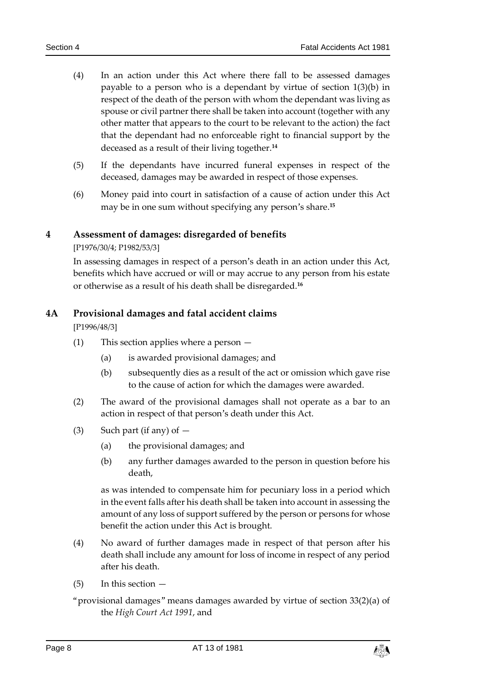- (4) In an action under this Act where there fall to be assessed damages payable to a person who is a dependant by virtue of section 1(3)(b) in respect of the death of the person with whom the dependant was living as spouse or civil partner there shall be taken into account (together with any other matter that appears to the court to be relevant to the action) the fact that the dependant had no enforceable right to financial support by the deceased as a result of their living together.**<sup>14</sup>**
- (5) If the dependants have incurred funeral expenses in respect of the deceased, damages may be awarded in respect of those expenses.
- (6) Money paid into court in satisfaction of a cause of action under this Act may be in one sum without specifying any person's share.**<sup>15</sup>**

## <span id="page-7-0"></span>**4 Assessment of damages: disregarded of benefits**

#### [P1976/30/4; P1982/53/3]

In assessing damages in respect of a person's death in an action under this Act, benefits which have accrued or will or may accrue to any person from his estate or otherwise as a result of his death shall be disregarded.**<sup>16</sup>**

## <span id="page-7-1"></span>**4A Provisional damages and fatal accident claims**

[P1996/48/3]

- (1) This section applies where a person
	- (a) is awarded provisional damages; and
	- (b) subsequently dies as a result of the act or omission which gave rise to the cause of action for which the damages were awarded.
- (2) The award of the provisional damages shall not operate as a bar to an action in respect of that person's death under this Act.
- (3) Such part (if any) of  $-$ 
	- (a) the provisional damages; and
	- (b) any further damages awarded to the person in question before his death,

as was intended to compensate him for pecuniary loss in a period which in the event falls after his death shall be taken into account in assessing the amount of any loss of support suffered by the person or persons for whose benefit the action under this Act is brought.

- (4) No award of further damages made in respect of that person after his death shall include any amount for loss of income in respect of any period after his death.
- $(5)$  In this section  $-$
- "provisional damages" means damages awarded by virtue of section 33(2)(a) of the *High Court Act 1991*, and

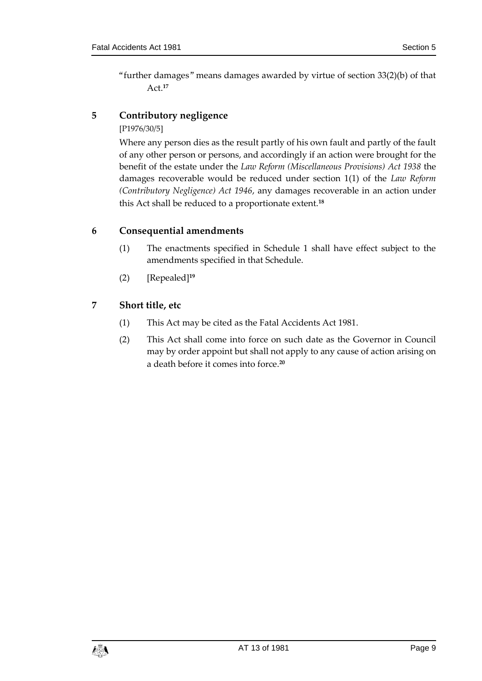"further damages" means damages awarded by virtue of section 33(2)(b) of that Act.**<sup>17</sup>**

# <span id="page-8-0"></span>**5 Contributory negligence**

#### [P1976/30/5]

Where any person dies as the result partly of his own fault and partly of the fault of any other person or persons, and accordingly if an action were brought for the benefit of the estate under the *Law Reform (Miscellaneous Provisions) Act 1938* the damages recoverable would be reduced under section 1(1) of the *Law Reform (Contributory Negligence) Act 1946*, any damages recoverable in an action under this Act shall be reduced to a proportionate extent.**<sup>18</sup>**

# <span id="page-8-1"></span>**6 Consequential amendments**

- (1) The enactments specified in Schedule 1 shall have effect subject to the amendments specified in that Schedule.
- (2) [Repealed]**<sup>19</sup>**

# <span id="page-8-2"></span>**7 Short title, etc**

- (1) This Act may be cited as the Fatal Accidents Act 1981.
- (2) This Act shall come into force on such date as the Governor in Council may by order appoint but shall not apply to any cause of action arising on a death before it comes into force.**20**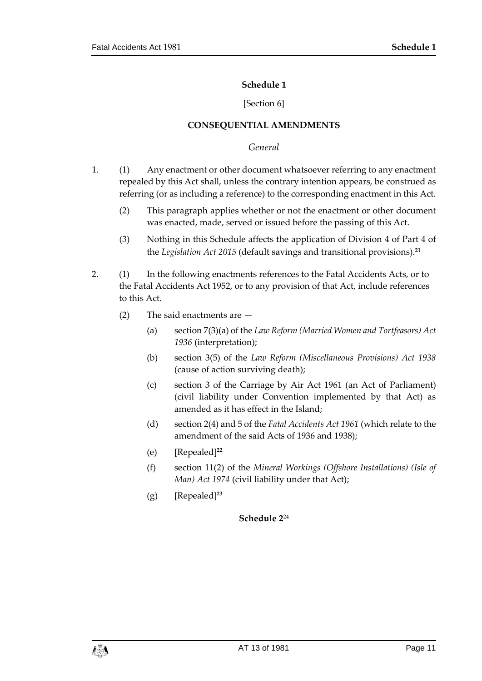#### **Schedule 1**

#### [Section 6]

#### **CONSEQUENTIAL AMENDMENTS**

#### *General*

- <span id="page-10-1"></span><span id="page-10-0"></span>1. (1) Any enactment or other document whatsoever referring to any enactment repealed by this Act shall, unless the contrary intention appears, be construed as referring (or as including a reference) to the corresponding enactment in this Act.
	- (2) This paragraph applies whether or not the enactment or other document was enacted, made, served or issued before the passing of this Act.
	- (3) Nothing in this Schedule affects the application of Division 4 of Part 4 of the *Legislation Act 2015* (default savings and transitional provisions).**<sup>21</sup>**
- 2. (1) In the following enactments references to the Fatal Accidents Acts, or to the Fatal Accidents Act 1952, or to any provision of that Act, include references to this Act.
	- (2) The said enactments are
		- (a) section 7(3)(a) of the *Law Reform (Married Women and Tortfeasors) Act 1936* (interpretation);
		- (b) section 3(5) of the *Law Reform (Miscellaneous Provisions) Act 1938* (cause of action surviving death);
		- (c) section 3 of the Carriage by Air Act 1961 (an Act of Parliament) (civil liability under Convention implemented by that Act) as amended as it has effect in the Island;
		- (d) section 2(4) and 5 of the *Fatal Accidents Act 1961* (which relate to the amendment of the said Acts of 1936 and 1938);
		- (e) [Repealed]**<sup>22</sup>**
		- (f) section 11(2) of the *Mineral Workings (Offshore Installations) (Isle of Man) Act 1974* (civil liability under that Act);
		- (g) [Repealed]**<sup>23</sup>**

## <span id="page-10-2"></span>**Schedule 2**24